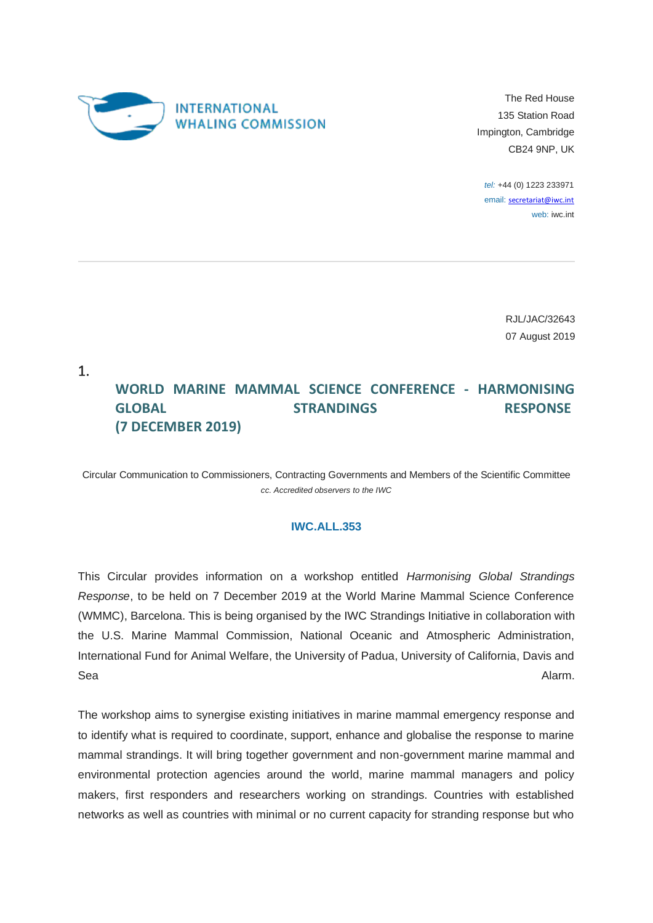

The Red House 135 Station Road Impington, Cambridge CB24 9NP, UK

*tel:* +44 (0) 1223 233971 email: [secretariat@iwc.int](mailto:secretariat@iwc.int) web: iwc.int

> RJL/JAC/32643 07 August 2019

1.

## **WORLD MARINE MAMMAL SCIENCE CONFERENCE - HARMONISING GLOBAL STRANDINGS RESPONSE (7 DECEMBER 2019)**

Circular Communication to Commissioners, Contracting Governments and Members of the Scientific Committee *cc. Accredited observers to the IWC*

## **IWC.ALL.353**

This Circular provides information on a workshop entitled *Harmonising Global Strandings Response*, to be held on 7 December 2019 at the World Marine Mammal Science Conference (WMMC), Barcelona. This is being organised by the IWC Strandings Initiative in collaboration with the U.S. Marine Mammal Commission, National Oceanic and Atmospheric Administration, International Fund for Animal Welfare, the University of Padua, University of California, Davis and Sea Alarm. And the season of the season of the season of the season of the season of the season of the season of the season of the season of the season of the season of the season of the season of the season of the season

The workshop aims to synergise existing initiatives in marine mammal emergency response and to identify what is required to coordinate, support, enhance and globalise the response to marine mammal strandings. It will bring together government and non-government marine mammal and environmental protection agencies around the world, marine mammal managers and policy makers, first responders and researchers working on strandings. Countries with established networks as well as countries with minimal or no current capacity for stranding response but who